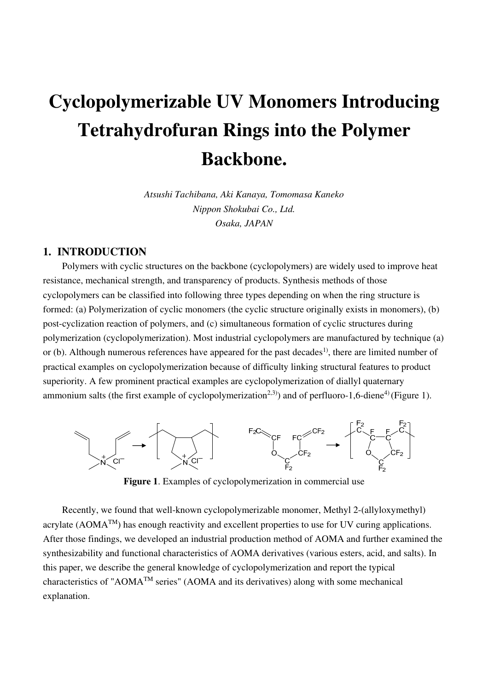# **Cyclopolymerizable UV Monomers Introducing Tetrahydrofuran Rings into the Polymer Backbone.**

*Atsushi Tachibana, Aki Kanaya, Tomomasa Kaneko Nippon Shokubai Co., Ltd. Osaka, JAPAN* 

# **1. INTRODUCTION**

Polymers with cyclic structures on the backbone (cyclopolymers) are widely used to improve heat resistance, mechanical strength, and transparency of products. Synthesis methods of those cyclopolymers can be classified into following three types depending on when the ring structure is formed: (a) Polymerization of cyclic monomers (the cyclic structure originally exists in monomers), (b) post-cyclization reaction of polymers, and (c) simultaneous formation of cyclic structures during polymerization (cyclopolymerization). Most industrial cyclopolymers are manufactured by technique (a) or (b). Although numerous references have appeared for the past decades<sup>1)</sup>, there are limited number of practical examples on cyclopolymerization because of difficulty linking structural features to product superiority. A few prominent practical examples are cyclopolymerization of diallyl quaternary ammonium salts (the first example of cyclopolymerization<sup>2,3)</sup>) and of perfluoro-1,6-diene<sup>4)</sup> (Figure 1).



**Figure 1**. Examples of cyclopolymerization in commercial use

Recently, we found that well-known cyclopolymerizable monomer, Methyl 2-(allyloxymethyl) acrylate  $(AOMA^{TM})$  has enough reactivity and excellent properties to use for UV curing applications. After those findings, we developed an industrial production method of AOMA and further examined the synthesizability and functional characteristics of AOMA derivatives (various esters, acid, and salts). In this paper, we describe the general knowledge of cyclopolymerization and report the typical characteristics of "AOMA<sup>TM</sup> series" (AOMA and its derivatives) along with some mechanical explanation.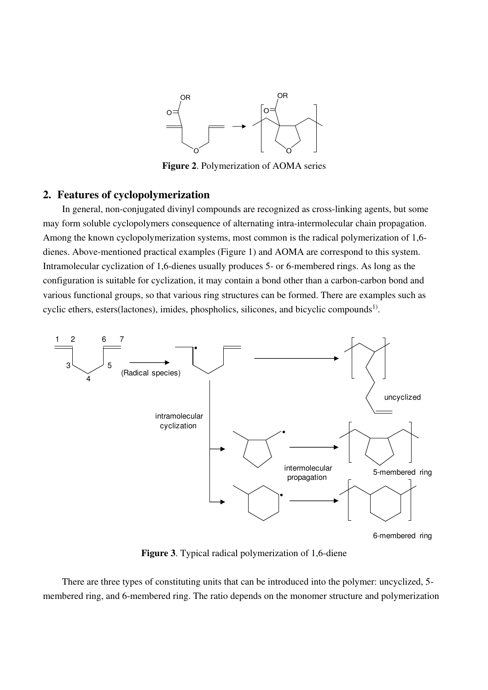

**Figure 2**. Polymerization of AOMA series

# **2. Features of cyclopolymerization**

In general, non-conjugated divinyl compounds are recognized as cross-linking agents, but some may form soluble cyclopolymers consequence of alternating intra-intermolecular chain propagation. Among the known cyclopolymerization systems, most common is the radical polymerization of 1,6 dienes. Above-mentioned practical examples (Figure 1) and AOMA are correspond to this system. Intramolecular cyclization of 1,6-dienes usually produces 5- or 6-membered rings. As long as the configuration is suitable for cyclization, it may contain a bond other than a carbon-carbon bond and various functional groups, so that various ring structures can be formed. There are examples such as cyclic ethers, esters(lactones), imides, phospholics, silicones, and bicyclic compounds<sup>1)</sup>.



**Figure 3**. Typical radical polymerization of 1,6-diene

There are three types of constituting units that can be introduced into the polymer: uncyclized, 5 membered ring, and 6-membered ring. The ratio depends on the monomer structure and polymerization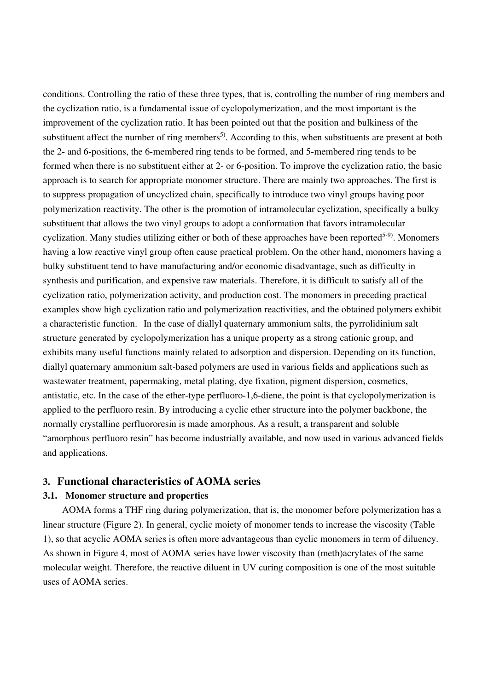conditions. Controlling the ratio of these three types, that is, controlling the number of ring members and the cyclization ratio, is a fundamental issue of cyclopolymerization, and the most important is the improvement of the cyclization ratio. It has been pointed out that the position and bulkiness of the substituent affect the number of ring members<sup>5)</sup>. According to this, when substituents are present at both the 2- and 6-positions, the 6-membered ring tends to be formed, and 5-membered ring tends to be formed when there is no substituent either at 2- or 6-position. To improve the cyclization ratio, the basic approach is to search for appropriate monomer structure. There are mainly two approaches. The first is to suppress propagation of uncyclized chain, specifically to introduce two vinyl groups having poor polymerization reactivity. The other is the promotion of intramolecular cyclization, specifically a bulky substituent that allows the two vinyl groups to adopt a conformation that favors intramolecular cyclization. Many studies utilizing either or both of these approaches have been reported<sup>5-9)</sup>. Monomers having a low reactive vinyl group often cause practical problem. On the other hand, monomers having a bulky substituent tend to have manufacturing and/or economic disadvantage, such as difficulty in synthesis and purification, and expensive raw materials. Therefore, it is difficult to satisfy all of the cyclization ratio, polymerization activity, and production cost. The monomers in preceding practical examples show high cyclization ratio and polymerization reactivities, and the obtained polymers exhibit a characteristic function. In the case of diallyl quaternary ammonium salts, the pyrrolidinium salt structure generated by cyclopolymerization has a unique property as a strong cationic group, and exhibits many useful functions mainly related to adsorption and dispersion. Depending on its function, diallyl quaternary ammonium salt-based polymers are used in various fields and applications such as wastewater treatment, papermaking, metal plating, dye fixation, pigment dispersion, cosmetics, antistatic, etc. In the case of the ether-type perfluoro-1,6-diene, the point is that cyclopolymerization is applied to the perfluoro resin. By introducing a cyclic ether structure into the polymer backbone, the normally crystalline perfluororesin is made amorphous. As a result, a transparent and soluble "amorphous perfluoro resin" has become industrially available, and now used in various advanced fields and applications.

# **3. Functional characteristics of AOMA series**

#### **3.1. Monomer structure and properties**

AOMA forms a THF ring during polymerization, that is, the monomer before polymerization has a linear structure (Figure 2). In general, cyclic moiety of monomer tends to increase the viscosity (Table 1), so that acyclic AOMA series is often more advantageous than cyclic monomers in term of diluency. As shown in Figure 4, most of AOMA series have lower viscosity than (meth)acrylates of the same molecular weight. Therefore, the reactive diluent in UV curing composition is one of the most suitable uses of AOMA series.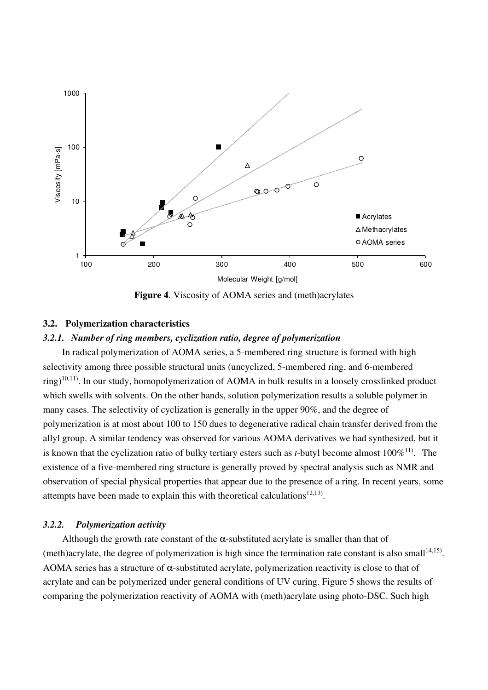

**Figure 4**. Viscosity of AOMA series and (meth)acrylates

# **3.2. Polymerization characteristics**

#### *3.2.1. Number of ring members, cyclization ratio, degree of polymerization*

In radical polymerization of AOMA series, a 5-membered ring structure is formed with high selectivity among three possible structural units (uncyclized, 5-membered ring, and 6-membered  $\langle$ ring)<sup>10,11)</sup>. In our study, homopolymerization of AOMA in bulk results in a loosely crosslinked product which swells with solvents. On the other hands, solution polymerization results a soluble polymer in many cases. The selectivity of cyclization is generally in the upper 90%, and the degree of polymerization is at most about 100 to 150 dues to degenerative radical chain transfer derived from the allyl group. A similar tendency was observed for various AOMA derivatives we had synthesized, but it is known that the cyclization ratio of bulky tertiary esters such as  $t$ -butyl become almost  $100\%$ <sup>11</sup>. The existence of a five-membered ring structure is generally proved by spectral analysis such as NMR and observation of special physical properties that appear due to the presence of a ring. In recent years, some attempts have been made to explain this with theoretical calculations<sup>12,13</sup>).

#### *3.2.2. Polymerization activity*

Although the growth rate constant of the  $\alpha$ -substituted acrylate is smaller than that of (meth)acrylate, the degree of polymerization is high since the termination rate constant is also small<sup>14,15)</sup>. AOMA series has a structure of  $\alpha$ -substituted acrylate, polymerization reactivity is close to that of acrylate and can be polymerized under general conditions of UV curing. Figure 5 shows the results of comparing the polymerization reactivity of AOMA with (meth)acrylate using photo-DSC. Such high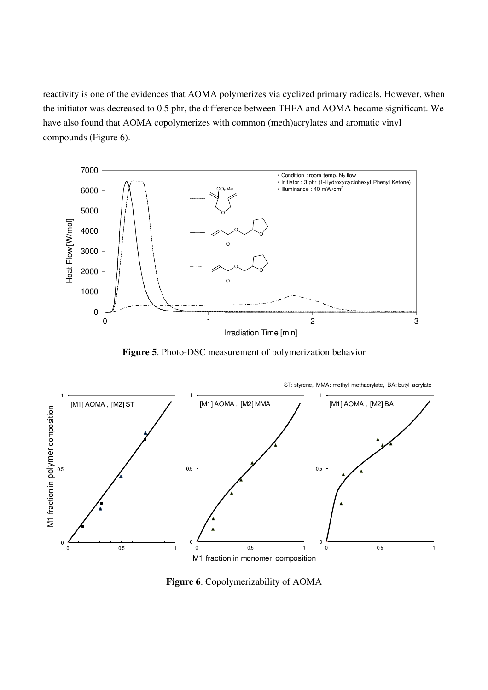reactivity is one of the evidences that AOMA polymerizes via cyclized primary radicals. However, when the initiator was decreased to 0.5 phr, the difference between THFA and AOMA became significant. We have also found that AOMA copolymerizes with common (meth)acrylates and aromatic vinyl compounds (Figure 6).



**Figure 5**. Photo-DSC measurement of polymerization behavior



**Figure 6**. Copolymerizability of AOMA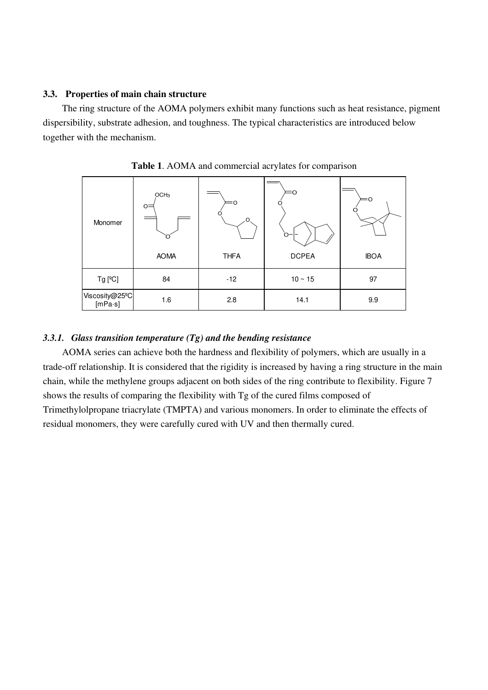#### **3.3. Properties of main chain structure**

The ring structure of the AOMA polymers exhibit many functions such as heat resistance, pigment dispersibility, substrate adhesion, and toughness. The typical characteristics are introduced below together with the mechanism.

| Monomer                                | OCH <sub>3</sub><br>$O =$ | $\Omega$    | O<br>$\circ$ | ΞΟ          |  |
|----------------------------------------|---------------------------|-------------|--------------|-------------|--|
|                                        | <b>AOMA</b>               | <b>THFA</b> | <b>DCPEA</b> | <b>IBOA</b> |  |
| $Tg$ [ $^{\circ}$ C]                   | 84                        | $-12$       | $10 \sim 15$ | 97          |  |
| Viscosity@25 <sup>o</sup> C<br>[mPa·s] | 1.6                       | 2.8         | 14.1         | 9.9         |  |

**Table 1**. AOMA and commercial acrylates for comparison

#### *3.3.1. Glass transition temperature (Tg) and the bending resistance*

AOMA series can achieve both the hardness and flexibility of polymers, which are usually in a trade-off relationship. It is considered that the rigidity is increased by having a ring structure in the main chain, while the methylene groups adjacent on both sides of the ring contribute to flexibility. Figure 7 shows the results of comparing the flexibility with Tg of the cured films composed of Trimethylolpropane triacrylate (TMPTA) and various monomers. In order to eliminate the effects of residual monomers, they were carefully cured with UV and then thermally cured.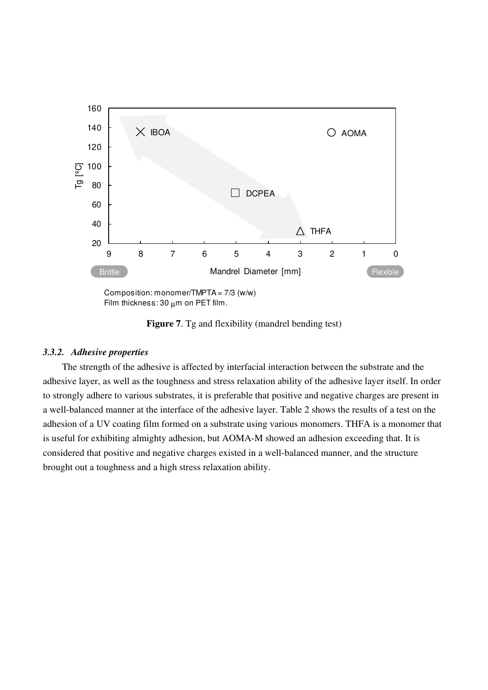

Composition: monomer/TMPTA = 7/3 (w/w) Film thickness:  $30 \mu m$  on PET film.

**Figure 7**. Tg and flexibility (mandrel bending test)

#### *3.3.2. Adhesive properties*

The strength of the adhesive is affected by interfacial interaction between the substrate and the adhesive layer, as well as the toughness and stress relaxation ability of the adhesive layer itself. In order to strongly adhere to various substrates, it is preferable that positive and negative charges are present in a well-balanced manner at the interface of the adhesive layer. Table 2 shows the results of a test on the adhesion of a UV coating film formed on a substrate using various monomers. THFA is a monomer that is useful for exhibiting almighty adhesion, but AOMA-M showed an adhesion exceeding that. It is considered that positive and negative charges existed in a well-balanced manner, and the structure brought out a toughness and a high stress relaxation ability.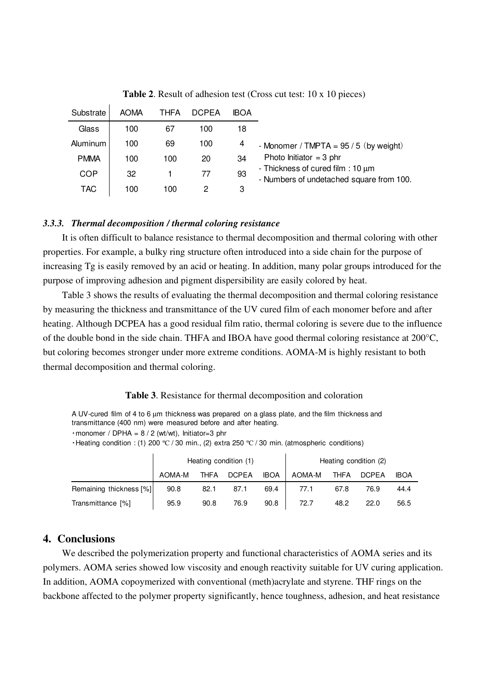| Substrate   | <b>AOMA</b> | THFA | <b>DCPEA</b> | <b>IBOA</b> |                                                                                    |
|-------------|-------------|------|--------------|-------------|------------------------------------------------------------------------------------|
| Glass       | 100         | 67   | 100          | 18          |                                                                                    |
| Aluminum    | 100         | 69   | 100          | 4           | - Monomer / TMPTA = $95/5$ (by weight)                                             |
| <b>PMMA</b> | 100         | 100  | 20           | 34          | Photo Initiator = 3 phr                                                            |
| COP         | 32          |      | 77           | 93          | - Thickness of cured film : $10 \mu m$<br>- Numbers of undetached square from 100. |
| <b>TAC</b>  | 100         | 100  |              | 3           |                                                                                    |

**Table 2**. Result of adhesion test (Cross cut test: 10 x 10 pieces)

#### *3.3.3. Thermal decomposition / thermal coloring resistance*

It is often difficult to balance resistance to thermal decomposition and thermal coloring with other properties. For example, a bulky ring structure often introduced into a side chain for the purpose of increasing Tg is easily removed by an acid or heating. In addition, many polar groups introduced for the purpose of improving adhesion and pigment dispersibility are easily colored by heat.

Table 3 shows the results of evaluating the thermal decomposition and thermal coloring resistance by measuring the thickness and transmittance of the UV cured film of each monomer before and after heating. Although DCPEA has a good residual film ratio, thermal coloring is severe due to the influence of the double bond in the side chain. THFA and IBOA have good thermal coloring resistance at 200°C, but coloring becomes stronger under more extreme conditions. AOMA-M is highly resistant to both thermal decomposition and thermal coloring.

#### **Table 3**. Resistance for thermal decomposition and coloration

A UV-cured film of 4 to 6 um thickness was prepared on a glass plate, and the film thickness and transmittance (400 nm) were measured before and after heating.

 $\cdot$ monomer / DPHA = 8 / 2 (wt/wt), Initiator=3 phr

 $\cdot$  Heating condition : (1) 200 °C / 30 min., (2) extra 250 °C / 30 min. (atmospheric conditions)

|                         | Heating condition (1) |             |              |             | Heating condition (2) |             |              |             |
|-------------------------|-----------------------|-------------|--------------|-------------|-----------------------|-------------|--------------|-------------|
|                         | AOMA-M                | <b>THFA</b> | <b>DCPEA</b> | <b>IBOA</b> | AOMA-M                | <b>THFA</b> | <b>DCPEA</b> | <b>IBOA</b> |
| Remaining thickness [%] | 90.8                  | 82.1        | 87.1         | 69.4        | 77.1                  | 67.8        | 76.9         | 44.4        |
| Transmittance [%]       | 95.9                  | 90.8        | 76.9         | 90.8        | 72.7                  | 48.2        | 22.0         | 56.5        |

### **4. Conclusions**

We described the polymerization property and functional characteristics of AOMA series and its polymers. AOMA series showed low viscosity and enough reactivity suitable for UV curing application. In addition, AOMA copoymerized with conventional (meth)acrylate and styrene. THF rings on the backbone affected to the polymer property significantly, hence toughness, adhesion, and heat resistance